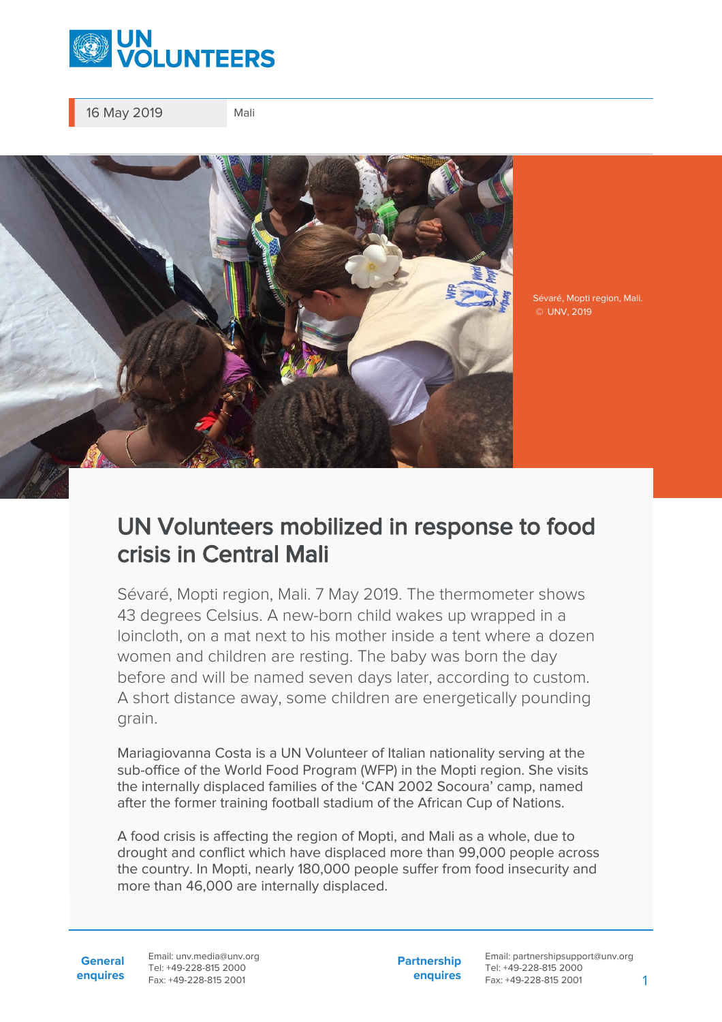

16 May 2019 Mali



Sévaré, Mopti region, Mali. © UNV, 2019

## UN Volunteers mobilized in response to food crisis in Central Mali

Sévaré, Mopti region, Mali. 7 May 2019. The thermometer shows 43 degrees Celsius. A new-born child wakes up wrapped in a loincloth, on a mat next to his mother inside a tent where a dozen women and children are resting. The baby was born the day before and will be named seven days later, according to custom. A short distance away, some children are energetically pounding grain.

Mariagiovanna Costa is a UN Volunteer of Italian nationality serving at the sub-office of the World Food Program (WFP) in the Mopti region. She visits the internally displaced families of the 'CAN 2002 Socoura' camp, named after the former training football stadium of the African Cup of Nations.

A food crisis is affecting the region of Mopti, and Mali as a whole, due to drought and conflict which have displaced more than 99,000 people across the country. In Mopti, nearly 180,000 people suffer from food insecurity and more than 46,000 are internally displaced.

**General enquires** Email: unv.media@unv.org Tel: +49-228-815 2000 Fax: +49-228-815 2001

**Partnership enquires** Email: partnershipsupport@unv.org Tel: +49-228-815 2000 Fax: +49-228-815 2001 1